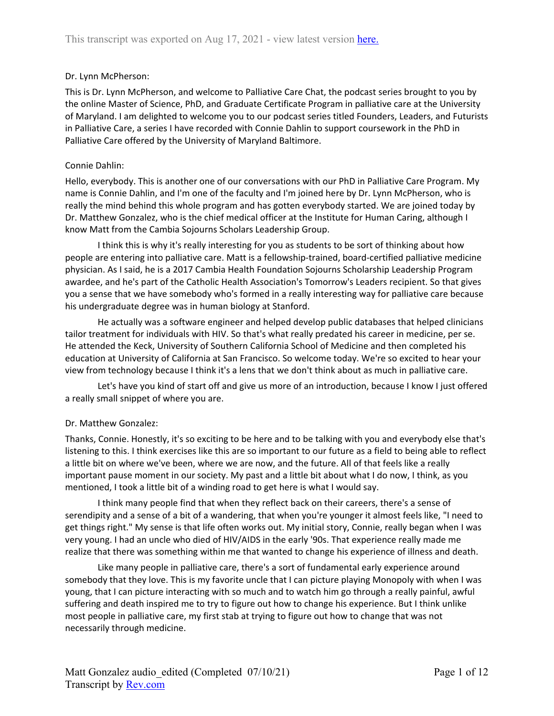# Dr. Lynn McPherson:

This is Dr. Lynn McPherson, and welcome to Palliative Care Chat, the podcast series brought to you by the online Master of Science, PhD, and Graduate Certificate Program in palliative care at the University of Maryland. I am delighted to welcome you to our podcast series titled Founders, Leaders, and Futurists in Palliative Care, a series I have recorded with Connie Dahlin to support coursework in the PhD in Palliative Care offered by the University of Maryland Baltimore.

## Connie Dahlin:

Hello, everybody. This is another one of our conversations with our PhD in Palliative Care Program. My name is Connie Dahlin, and I'm one of the faculty and I'm joined here by Dr. Lynn McPherson, who is really the mind behind this whole program and has gotten everybody started. We are joined today by Dr. Matthew Gonzalez, who is the chief medical officer at the Institute for Human Caring, although I know Matt from the Cambia Sojourns Scholars Leadership Group.

I think this is why it's really interesting for you as students to be sort of thinking about how people are entering into palliative care. Matt is a fellowship-trained, board-certified palliative medicine physician. As I said, he is a 2017 Cambia Health Foundation Sojourns Scholarship Leadership Program awardee, and he's part of the Catholic Health Association's Tomorrow's Leaders recipient. So that gives you a sense that we have somebody who's formed in a really interesting way for palliative care because his undergraduate degree was in human biology at Stanford.

He actually was a software engineer and helped develop public databases that helped clinicians tailor treatment for individuals with HIV. So that's what really predated his career in medicine, per se. He attended the Keck, University of Southern California School of Medicine and then completed his education at University of California at San Francisco. So welcome today. We're so excited to hear your view from technology because I think it's a lens that we don't think about as much in palliative care.

Let's have you kind of start off and give us more of an introduction, because I know I just offered a really small snippet of where you are.

# Dr. Matthew Gonzalez:

Thanks, Connie. Honestly, it's so exciting to be here and to be talking with you and everybody else that's listening to this. I think exercises like this are so important to our future as a field to being able to reflect a little bit on where we've been, where we are now, and the future. All of that feels like a really important pause moment in our society. My past and a little bit about what I do now, I think, as you mentioned, I took a little bit of a winding road to get here is what I would say.

I think many people find that when they reflect back on their careers, there's a sense of serendipity and a sense of a bit of a wandering, that when you're younger it almost feels like, "I need to get things right." My sense is that life often works out. My initial story, Connie, really began when I was very young. I had an uncle who died of HIV/AIDS in the early '90s. That experience really made me realize that there was something within me that wanted to change his experience of illness and death.

Like many people in palliative care, there's a sort of fundamental early experience around somebody that they love. This is my favorite uncle that I can picture playing Monopoly with when I was young, that I can picture interacting with so much and to watch him go through a really painful, awful suffering and death inspired me to try to figure out how to change his experience. But I think unlike most people in palliative care, my first stab at trying to figure out how to change that was not necessarily through medicine.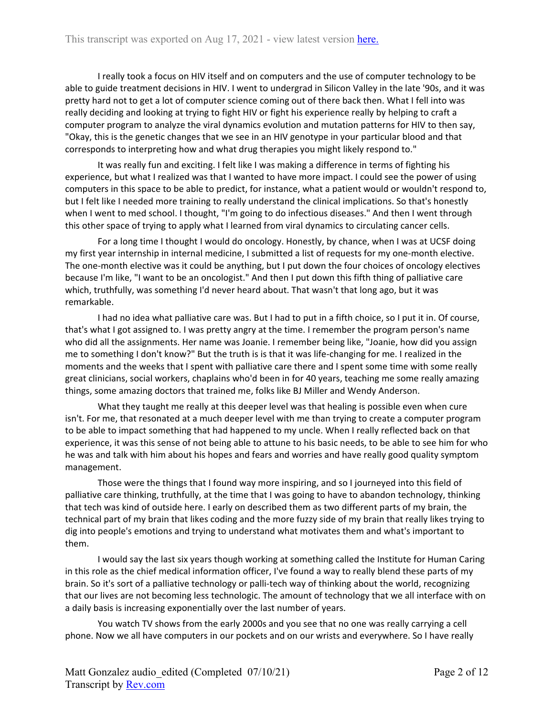I really took a focus on HIV itself and on computers and the use of computer technology to be able to guide treatment decisions in HIV. I went to undergrad in Silicon Valley in the late '90s, and it was pretty hard not to get a lot of computer science coming out of there back then. What I fell into was really deciding and looking at trying to fight HIV or fight his experience really by helping to craft a computer program to analyze the viral dynamics evolution and mutation patterns for HIV to then say, "Okay, this is the genetic changes that we see in an HIV genotype in your particular blood and that corresponds to interpreting how and what drug therapies you might likely respond to."

It was really fun and exciting. I felt like I was making a difference in terms of fighting his experience, but what I realized was that I wanted to have more impact. I could see the power of using computers in this space to be able to predict, for instance, what a patient would or wouldn't respond to, but I felt like I needed more training to really understand the clinical implications. So that's honestly when I went to med school. I thought, "I'm going to do infectious diseases." And then I went through this other space of trying to apply what I learned from viral dynamics to circulating cancer cells.

For a long time I thought I would do oncology. Honestly, by chance, when I was at UCSF doing my first year internship in internal medicine, I submitted a list of requests for my one-month elective. The one-month elective was it could be anything, but I put down the four choices of oncology electives because I'm like, "I want to be an oncologist." And then I put down this fifth thing of palliative care which, truthfully, was something I'd never heard about. That wasn't that long ago, but it was remarkable.

I had no idea what palliative care was. But I had to put in a fifth choice, so I put it in. Of course, that's what I got assigned to. I was pretty angry at the time. I remember the program person's name who did all the assignments. Her name was Joanie. I remember being like, "Joanie, how did you assign me to something I don't know?" But the truth is is that it was life-changing for me. I realized in the moments and the weeks that I spent with palliative care there and I spent some time with some really great clinicians, social workers, chaplains who'd been in for 40 years, teaching me some really amazing things, some amazing doctors that trained me, folks like BJ Miller and Wendy Anderson.

What they taught me really at this deeper level was that healing is possible even when cure isn't. For me, that resonated at a much deeper level with me than trying to create a computer program to be able to impact something that had happened to my uncle. When I really reflected back on that experience, it was this sense of not being able to attune to his basic needs, to be able to see him for who he was and talk with him about his hopes and fears and worries and have really good quality symptom management.

Those were the things that I found way more inspiring, and so I journeyed into this field of palliative care thinking, truthfully, at the time that I was going to have to abandon technology, thinking that tech was kind of outside here. I early on described them as two different parts of my brain, the technical part of my brain that likes coding and the more fuzzy side of my brain that really likes trying to dig into people's emotions and trying to understand what motivates them and what's important to them.

I would say the last six years though working at something called the Institute for Human Caring in this role as the chief medical information officer, I've found a way to really blend these parts of my brain. So it's sort of a palliative technology or palli-tech way of thinking about the world, recognizing that our lives are not becoming less technologic. The amount of technology that we all interface with on a daily basis is increasing exponentially over the last number of years.

You watch TV shows from the early 2000s and you see that no one was really carrying a cell phone. Now we all have computers in our pockets and on our wrists and everywhere. So I have really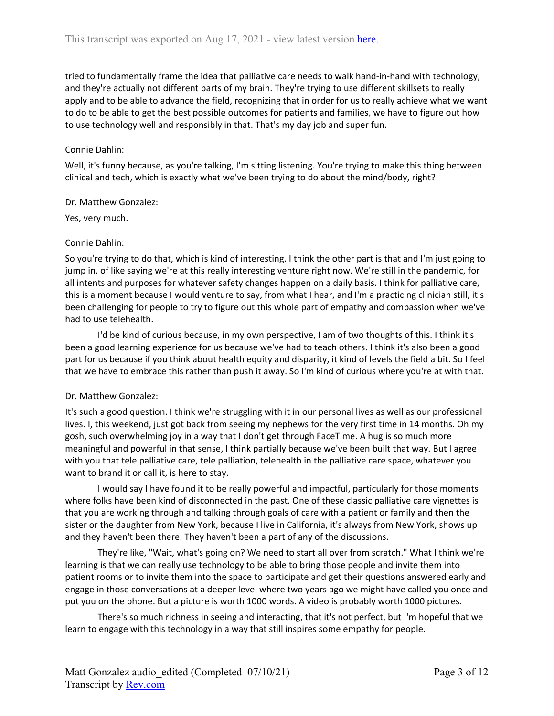tried to fundamentally frame the idea that palliative care needs to walk hand-in-hand with technology, and they're actually not different parts of my brain. They're trying to use different skillsets to really apply and to be able to advance the field, recognizing that in order for us to really achieve what we want to do to be able to get the best possible outcomes for patients and families, we have to figure out how to use technology well and responsibly in that. That's my day job and super fun.

## Connie Dahlin:

Well, it's funny because, as you're talking, I'm sitting listening. You're trying to make this thing between clinical and tech, which is exactly what we've been trying to do about the mind/body, right?

## Dr. Matthew Gonzalez:

Yes, very much.

## Connie Dahlin:

So you're trying to do that, which is kind of interesting. I think the other part is that and I'm just going to jump in, of like saying we're at this really interesting venture right now. We're still in the pandemic, for all intents and purposes for whatever safety changes happen on a daily basis. I think for palliative care, this is a moment because I would venture to say, from what I hear, and I'm a practicing clinician still, it's been challenging for people to try to figure out this whole part of empathy and compassion when we've had to use telehealth.

I'd be kind of curious because, in my own perspective, I am of two thoughts of this. I think it's been a good learning experience for us because we've had to teach others. I think it's also been a good part for us because if you think about health equity and disparity, it kind of levels the field a bit. So I feel that we have to embrace this rather than push it away. So I'm kind of curious where you're at with that.

## Dr. Matthew Gonzalez:

It's such a good question. I think we're struggling with it in our personal lives as well as our professional lives. I, this weekend, just got back from seeing my nephews for the very first time in 14 months. Oh my gosh, such overwhelming joy in a way that I don't get through FaceTime. A hug is so much more meaningful and powerful in that sense, I think partially because we've been built that way. But I agree with you that tele palliative care, tele palliation, telehealth in the palliative care space, whatever you want to brand it or call it, is here to stay.

I would say I have found it to be really powerful and impactful, particularly for those moments where folks have been kind of disconnected in the past. One of these classic palliative care vignettes is that you are working through and talking through goals of care with a patient or family and then the sister or the daughter from New York, because I live in California, it's always from New York, shows up and they haven't been there. They haven't been a part of any of the discussions.

They're like, "Wait, what's going on? We need to start all over from scratch." What I think we're learning is that we can really use technology to be able to bring those people and invite them into patient rooms or to invite them into the space to participate and get their questions answered early and engage in those conversations at a deeper level where two years ago we might have called you once and put you on the phone. But a picture is worth 1000 words. A video is probably worth 1000 pictures.

There's so much richness in seeing and interacting, that it's not perfect, but I'm hopeful that we learn to engage with this technology in a way that still inspires some empathy for people.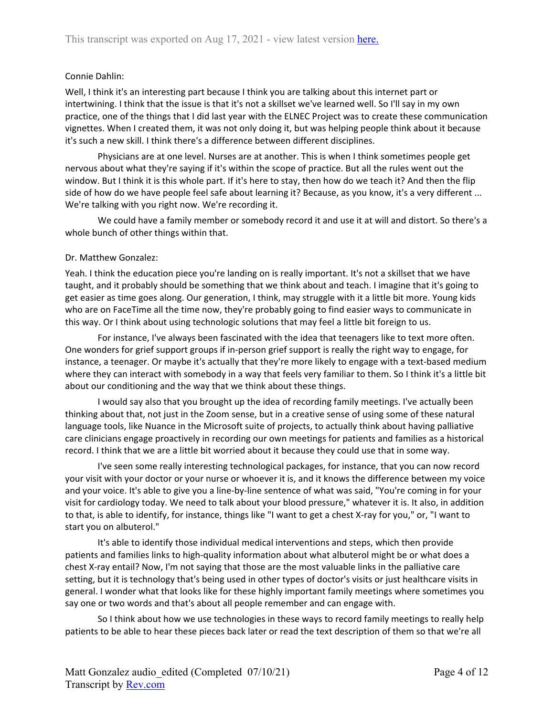## Connie Dahlin:

Well, I think it's an interesting part because I think you are talking about this internet part or intertwining. I think that the issue is that it's not a skillset we've learned well. So I'll say in my own practice, one of the things that I did last year with the ELNEC Project was to create these communication vignettes. When I created them, it was not only doing it, but was helping people think about it because it's such a new skill. I think there's a difference between different disciplines.

Physicians are at one level. Nurses are at another. This is when I think sometimes people get nervous about what they're saying if it's within the scope of practice. But all the rules went out the window. But I think it is this whole part. If it's here to stay, then how do we teach it? And then the flip side of how do we have people feel safe about learning it? Because, as you know, it's a very different ... We're talking with you right now. We're recording it.

We could have a family member or somebody record it and use it at will and distort. So there's a whole bunch of other things within that.

## Dr. Matthew Gonzalez:

Yeah. I think the education piece you're landing on is really important. It's not a skillset that we have taught, and it probably should be something that we think about and teach. I imagine that it's going to get easier as time goes along. Our generation, I think, may struggle with it a little bit more. Young kids who are on FaceTime all the time now, they're probably going to find easier ways to communicate in this way. Or I think about using technologic solutions that may feel a little bit foreign to us.

For instance, I've always been fascinated with the idea that teenagers like to text more often. One wonders for grief support groups if in-person grief support is really the right way to engage, for instance, a teenager. Or maybe it's actually that they're more likely to engage with a text-based medium where they can interact with somebody in a way that feels very familiar to them. So I think it's a little bit about our conditioning and the way that we think about these things.

I would say also that you brought up the idea of recording family meetings. I've actually been thinking about that, not just in the Zoom sense, but in a creative sense of using some of these natural language tools, like Nuance in the Microsoft suite of projects, to actually think about having palliative care clinicians engage proactively in recording our own meetings for patients and families as a historical record. I think that we are a little bit worried about it because they could use that in some way.

I've seen some really interesting technological packages, for instance, that you can now record your visit with your doctor or your nurse or whoever it is, and it knows the difference between my voice and your voice. It's able to give you a line-by-line sentence of what was said, "You're coming in for your visit for cardiology today. We need to talk about your blood pressure," whatever it is. It also, in addition to that, is able to identify, for instance, things like "I want to get a chest X-ray for you," or, "I want to start you on albuterol."

It's able to identify those individual medical interventions and steps, which then provide patients and families links to high-quality information about what albuterol might be or what does a chest X-ray entail? Now, I'm not saying that those are the most valuable links in the palliative care setting, but it is technology that's being used in other types of doctor's visits or just healthcare visits in general. I wonder what that looks like for these highly important family meetings where sometimes you say one or two words and that's about all people remember and can engage with.

So I think about how we use technologies in these ways to record family meetings to really help patients to be able to hear these pieces back later or read the text description of them so that we're all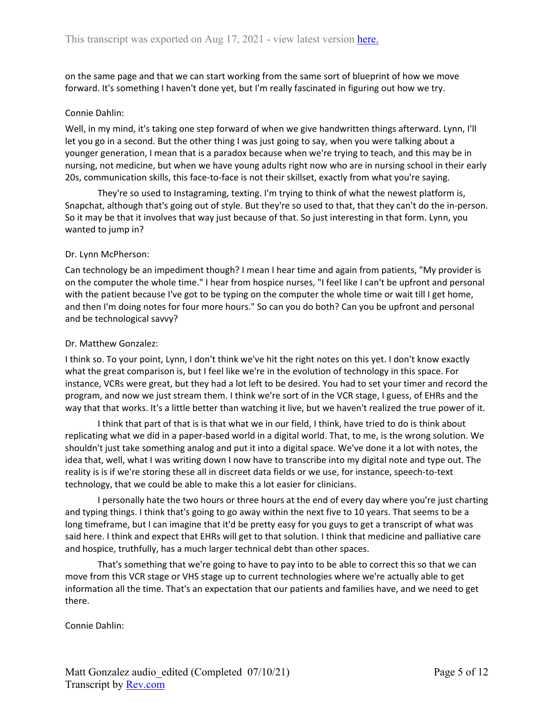on the same page and that we can start working from the same sort of blueprint of how we move forward. It's something I haven't done yet, but I'm really fascinated in figuring out how we try.

## Connie Dahlin:

Well, in my mind, it's taking one step forward of when we give handwritten things afterward. Lynn, I'll let you go in a second. But the other thing I was just going to say, when you were talking about a younger generation, I mean that is a paradox because when we're trying to teach, and this may be in nursing, not medicine, but when we have young adults right now who are in nursing school in their early 20s, communication skills, this face-to-face is not their skillset, exactly from what you're saying.

They're so used to Instagraming, texting. I'm trying to think of what the newest platform is, Snapchat, although that's going out of style. But they're so used to that, that they can't do the in-person. So it may be that it involves that way just because of that. So just interesting in that form. Lynn, you wanted to jump in?

#### Dr. Lynn McPherson:

Can technology be an impediment though? I mean I hear time and again from patients, "My provider is on the computer the whole time." I hear from hospice nurses, "I feel like I can't be upfront and personal with the patient because I've got to be typing on the computer the whole time or wait till I get home, and then I'm doing notes for four more hours." So can you do both? Can you be upfront and personal and be technological savvy?

#### Dr. Matthew Gonzalez:

I think so. To your point, Lynn, I don't think we've hit the right notes on this yet. I don't know exactly what the great comparison is, but I feel like we're in the evolution of technology in this space. For instance, VCRs were great, but they had a lot left to be desired. You had to set your timer and record the program, and now we just stream them. I think we're sort of in the VCR stage, I guess, of EHRs and the way that that works. It's a little better than watching it live, but we haven't realized the true power of it.

I think that part of that is is that what we in our field, I think, have tried to do is think about replicating what we did in a paper-based world in a digital world. That, to me, is the wrong solution. We shouldn't just take something analog and put it into a digital space. We've done it a lot with notes, the idea that, well, what I was writing down I now have to transcribe into my digital note and type out. The reality is is if we're storing these all in discreet data fields or we use, for instance, speech-to-text technology, that we could be able to make this a lot easier for clinicians.

I personally hate the two hours or three hours at the end of every day where you're just charting and typing things. I think that's going to go away within the next five to 10 years. That seems to be a long timeframe, but I can imagine that it'd be pretty easy for you guys to get a transcript of what was said here. I think and expect that EHRs will get to that solution. I think that medicine and palliative care and hospice, truthfully, has a much larger technical debt than other spaces.

That's something that we're going to have to pay into to be able to correct this so that we can move from this VCR stage or VHS stage up to current technologies where we're actually able to get information all the time. That's an expectation that our patients and families have, and we need to get there.

Connie Dahlin: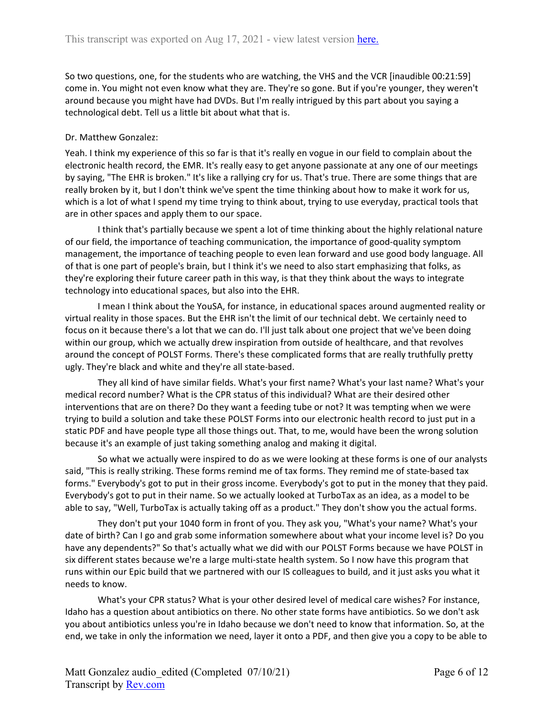So two questions, one, for the students who are watching, the VHS and the VCR [inaudible 00:21:59] come in. You might not even know what they are. They're so gone. But if you're younger, they weren't around because you might have had DVDs. But I'm really intrigued by this part about you saying a technological debt. Tell us a little bit about what that is.

# Dr. Matthew Gonzalez:

Yeah. I think my experience of this so far is that it's really en vogue in our field to complain about the electronic health record, the EMR. It's really easy to get anyone passionate at any one of our meetings by saying, "The EHR is broken." It's like a rallying cry for us. That's true. There are some things that are really broken by it, but I don't think we've spent the time thinking about how to make it work for us, which is a lot of what I spend my time trying to think about, trying to use everyday, practical tools that are in other spaces and apply them to our space.

I think that's partially because we spent a lot of time thinking about the highly relational nature of our field, the importance of teaching communication, the importance of good-quality symptom management, the importance of teaching people to even lean forward and use good body language. All of that is one part of people's brain, but I think it's we need to also start emphasizing that folks, as they're exploring their future career path in this way, is that they think about the ways to integrate technology into educational spaces, but also into the EHR.

I mean I think about the YouSA, for instance, in educational spaces around augmented reality or virtual reality in those spaces. But the EHR isn't the limit of our technical debt. We certainly need to focus on it because there's a lot that we can do. I'll just talk about one project that we've been doing within our group, which we actually drew inspiration from outside of healthcare, and that revolves around the concept of POLST Forms. There's these complicated forms that are really truthfully pretty ugly. They're black and white and they're all state-based.

They all kind of have similar fields. What's your first name? What's your last name? What's your medical record number? What is the CPR status of this individual? What are their desired other interventions that are on there? Do they want a feeding tube or not? It was tempting when we were trying to build a solution and take these POLST Forms into our electronic health record to just put in a static PDF and have people type all those things out. That, to me, would have been the wrong solution because it's an example of just taking something analog and making it digital.

So what we actually were inspired to do as we were looking at these forms is one of our analysts said, "This is really striking. These forms remind me of tax forms. They remind me of state-based tax forms." Everybody's got to put in their gross income. Everybody's got to put in the money that they paid. Everybody's got to put in their name. So we actually looked at TurboTax as an idea, as a model to be able to say, "Well, TurboTax is actually taking off as a product." They don't show you the actual forms.

They don't put your 1040 form in front of you. They ask you, "What's your name? What's your date of birth? Can I go and grab some information somewhere about what your income level is? Do you have any dependents?" So that's actually what we did with our POLST Forms because we have POLST in six different states because we're a large multi-state health system. So I now have this program that runs within our Epic build that we partnered with our IS colleagues to build, and it just asks you what it needs to know.

What's your CPR status? What is your other desired level of medical care wishes? For instance, Idaho has a question about antibiotics on there. No other state forms have antibiotics. So we don't ask you about antibiotics unless you're in Idaho because we don't need to know that information. So, at the end, we take in only the information we need, layer it onto a PDF, and then give you a copy to be able to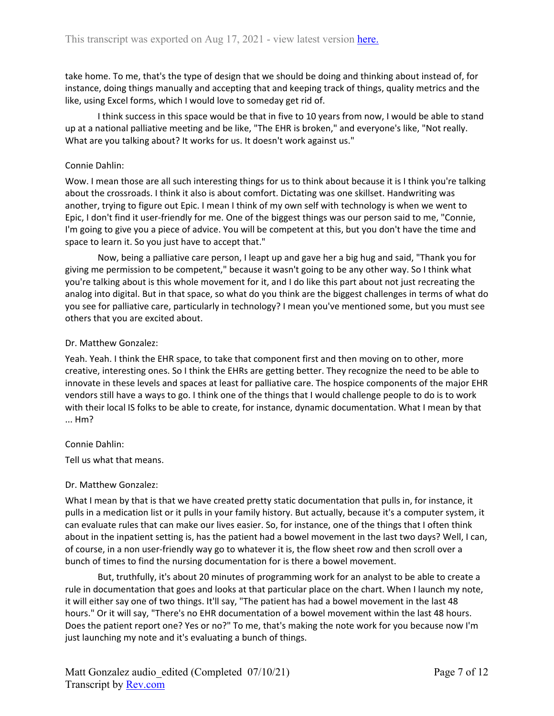take home. To me, that's the type of design that we should be doing and thinking about instead of, for instance, doing things manually and accepting that and keeping track of things, quality metrics and the like, using Excel forms, which I would love to someday get rid of.

I think success in this space would be that in five to 10 years from now, I would be able to stand up at a national palliative meeting and be like, "The EHR is broken," and everyone's like, "Not really. What are you talking about? It works for us. It doesn't work against us."

### Connie Dahlin:

Wow. I mean those are all such interesting things for us to think about because it is I think you're talking about the crossroads. I think it also is about comfort. Dictating was one skillset. Handwriting was another, trying to figure out Epic. I mean I think of my own self with technology is when we went to Epic, I don't find it user-friendly for me. One of the biggest things was our person said to me, "Connie, I'm going to give you a piece of advice. You will be competent at this, but you don't have the time and space to learn it. So you just have to accept that."

Now, being a palliative care person, I leapt up and gave her a big hug and said, "Thank you for giving me permission to be competent," because it wasn't going to be any other way. So I think what you're talking about is this whole movement for it, and I do like this part about not just recreating the analog into digital. But in that space, so what do you think are the biggest challenges in terms of what do you see for palliative care, particularly in technology? I mean you've mentioned some, but you must see others that you are excited about.

#### Dr. Matthew Gonzalez:

Yeah. Yeah. I think the EHR space, to take that component first and then moving on to other, more creative, interesting ones. So I think the EHRs are getting better. They recognize the need to be able to innovate in these levels and spaces at least for palliative care. The hospice components of the major EHR vendors still have a ways to go. I think one of the things that I would challenge people to do is to work with their local IS folks to be able to create, for instance, dynamic documentation. What I mean by that ... Hm?

## Connie Dahlin:

Tell us what that means.

## Dr. Matthew Gonzalez:

What I mean by that is that we have created pretty static documentation that pulls in, for instance, it pulls in a medication list or it pulls in your family history. But actually, because it's a computer system, it can evaluate rules that can make our lives easier. So, for instance, one of the things that I often think about in the inpatient setting is, has the patient had a bowel movement in the last two days? Well, I can, of course, in a non user-friendly way go to whatever it is, the flow sheet row and then scroll over a bunch of times to find the nursing documentation for is there a bowel movement.

But, truthfully, it's about 20 minutes of programming work for an analyst to be able to create a rule in documentation that goes and looks at that particular place on the chart. When I launch my note, it will either say one of two things. It'll say, "The patient has had a bowel movement in the last 48 hours." Or it will say, "There's no EHR documentation of a bowel movement within the last 48 hours. Does the patient report one? Yes or no?" To me, that's making the note work for you because now I'm just launching my note and it's evaluating a bunch of things.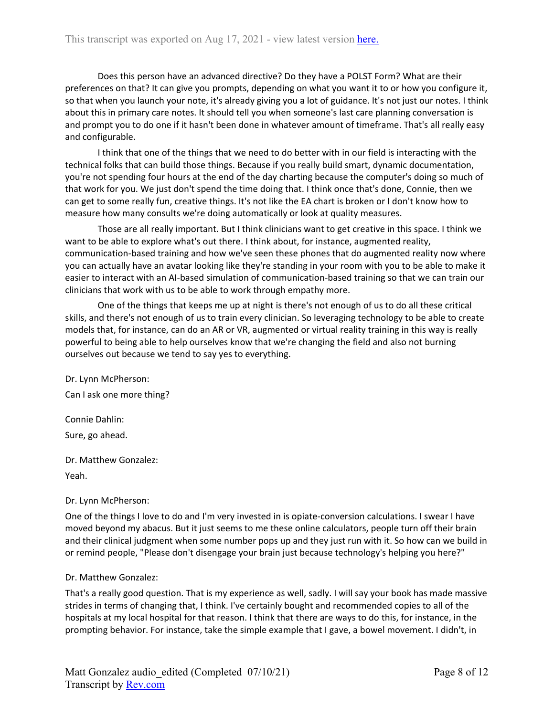Does this person have an advanced directive? Do they have a POLST Form? What are their preferences on that? It can give you prompts, depending on what you want it to or how you configure it, so that when you launch your note, it's already giving you a lot of guidance. It's not just our notes. I think about this in primary care notes. It should tell you when someone's last care planning conversation is and prompt you to do one if it hasn't been done in whatever amount of timeframe. That's all really easy and configurable.

I think that one of the things that we need to do better with in our field is interacting with the technical folks that can build those things. Because if you really build smart, dynamic documentation, you're not spending four hours at the end of the day charting because the computer's doing so much of that work for you. We just don't spend the time doing that. I think once that's done, Connie, then we can get to some really fun, creative things. It's not like the EA chart is broken or I don't know how to measure how many consults we're doing automatically or look at quality measures.

Those are all really important. But I think clinicians want to get creative in this space. I think we want to be able to explore what's out there. I think about, for instance, augmented reality, communication-based training and how we've seen these phones that do augmented reality now where you can actually have an avatar looking like they're standing in your room with you to be able to make it easier to interact with an AI-based simulation of communication-based training so that we can train our clinicians that work with us to be able to work through empathy more.

One of the things that keeps me up at night is there's not enough of us to do all these critical skills, and there's not enough of us to train every clinician. So leveraging technology to be able to create models that, for instance, can do an AR or VR, augmented or virtual reality training in this way is really powerful to being able to help ourselves know that we're changing the field and also not burning ourselves out because we tend to say yes to everything.

Dr. Lynn McPherson: Can I ask one more thing?

Connie Dahlin: Sure, go ahead.

Dr. Matthew Gonzalez:

Yeah.

Dr. Lynn McPherson:

One of the things I love to do and I'm very invested in is opiate-conversion calculations. I swear I have moved beyond my abacus. But it just seems to me these online calculators, people turn off their brain and their clinical judgment when some number pops up and they just run with it. So how can we build in or remind people, "Please don't disengage your brain just because technology's helping you here?"

## Dr. Matthew Gonzalez:

That's a really good question. That is my experience as well, sadly. I will say your book has made massive strides in terms of changing that, I think. I've certainly bought and recommended copies to all of the hospitals at my local hospital for that reason. I think that there are ways to do this, for instance, in the prompting behavior. For instance, take the simple example that I gave, a bowel movement. I didn't, in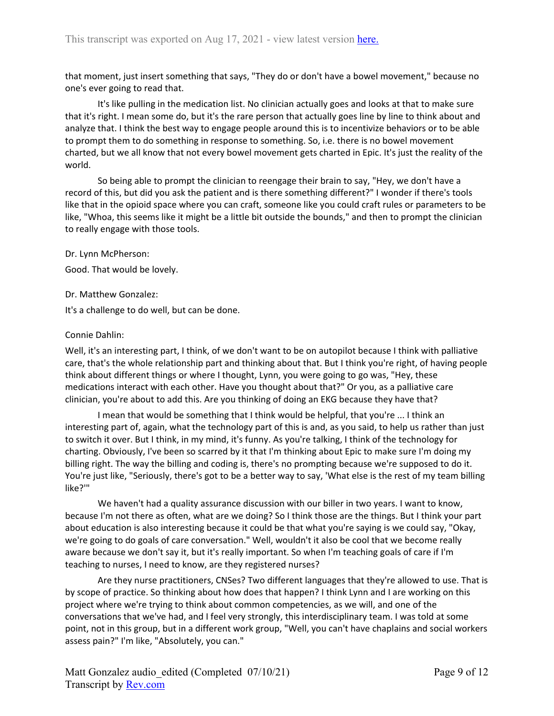that moment, just insert something that says, "They do or don't have a bowel movement," because no one's ever going to read that.

It's like pulling in the medication list. No clinician actually goes and looks at that to make sure that it's right. I mean some do, but it's the rare person that actually goes line by line to think about and analyze that. I think the best way to engage people around this is to incentivize behaviors or to be able to prompt them to do something in response to something. So, i.e. there is no bowel movement charted, but we all know that not every bowel movement gets charted in Epic. It's just the reality of the world.

So being able to prompt the clinician to reengage their brain to say, "Hey, we don't have a record of this, but did you ask the patient and is there something different?" I wonder if there's tools like that in the opioid space where you can craft, someone like you could craft rules or parameters to be like, "Whoa, this seems like it might be a little bit outside the bounds," and then to prompt the clinician to really engage with those tools.

Dr. Lynn McPherson:

Good. That would be lovely.

Dr. Matthew Gonzalez:

It's a challenge to do well, but can be done.

# Connie Dahlin:

Well, it's an interesting part, I think, of we don't want to be on autopilot because I think with palliative care, that's the whole relationship part and thinking about that. But I think you're right, of having people think about different things or where I thought, Lynn, you were going to go was, "Hey, these medications interact with each other. Have you thought about that?" Or you, as a palliative care clinician, you're about to add this. Are you thinking of doing an EKG because they have that?

I mean that would be something that I think would be helpful, that you're ... I think an interesting part of, again, what the technology part of this is and, as you said, to help us rather than just to switch it over. But I think, in my mind, it's funny. As you're talking, I think of the technology for charting. Obviously, I've been so scarred by it that I'm thinking about Epic to make sure I'm doing my billing right. The way the billing and coding is, there's no prompting because we're supposed to do it. You're just like, "Seriously, there's got to be a better way to say, 'What else is the rest of my team billing like?'"

We haven't had a quality assurance discussion with our biller in two years. I want to know, because I'm not there as often, what are we doing? So I think those are the things. But I think your part about education is also interesting because it could be that what you're saying is we could say, "Okay, we're going to do goals of care conversation." Well, wouldn't it also be cool that we become really aware because we don't say it, but it's really important. So when I'm teaching goals of care if I'm teaching to nurses, I need to know, are they registered nurses?

Are they nurse practitioners, CNSes? Two different languages that they're allowed to use. That is by scope of practice. So thinking about how does that happen? I think Lynn and I are working on this project where we're trying to think about common competencies, as we will, and one of the conversations that we've had, and I feel very strongly, this interdisciplinary team. I was told at some point, not in this group, but in a different work group, "Well, you can't have chaplains and social workers assess pain?" I'm like, "Absolutely, you can."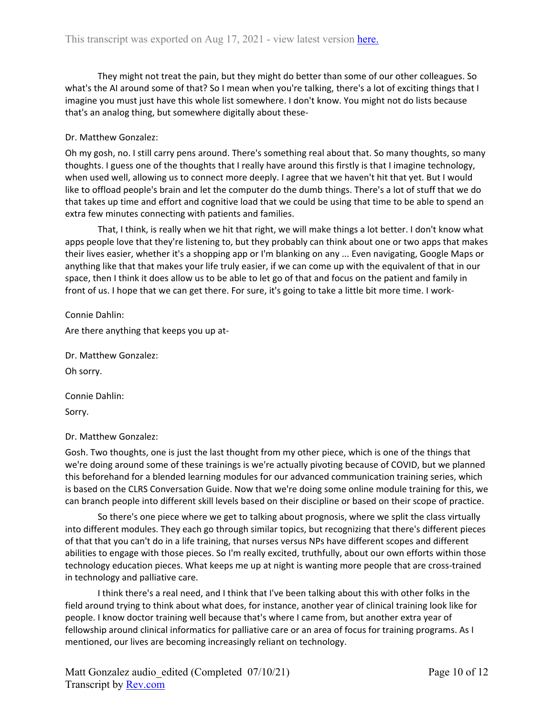They might not treat the pain, but they might do better than some of our other colleagues. So what's the AI around some of that? So I mean when you're talking, there's a lot of exciting things that I imagine you must just have this whole list somewhere. I don't know. You might not do lists because that's an analog thing, but somewhere digitally about these-

## Dr. Matthew Gonzalez:

Oh my gosh, no. I still carry pens around. There's something real about that. So many thoughts, so many thoughts. I guess one of the thoughts that I really have around this firstly is that I imagine technology, when used well, allowing us to connect more deeply. I agree that we haven't hit that yet. But I would like to offload people's brain and let the computer do the dumb things. There's a lot of stuff that we do that takes up time and effort and cognitive load that we could be using that time to be able to spend an extra few minutes connecting with patients and families.

That, I think, is really when we hit that right, we will make things a lot better. I don't know what apps people love that they're listening to, but they probably can think about one or two apps that makes their lives easier, whether it's a shopping app or I'm blanking on any ... Even navigating, Google Maps or anything like that that makes your life truly easier, if we can come up with the equivalent of that in our space, then I think it does allow us to be able to let go of that and focus on the patient and family in front of us. I hope that we can get there. For sure, it's going to take a little bit more time. I work-

Connie Dahlin:

Are there anything that keeps you up at-

Dr. Matthew Gonzalez:

Oh sorry.

Connie Dahlin:

Sorry.

Dr. Matthew Gonzalez:

Gosh. Two thoughts, one is just the last thought from my other piece, which is one of the things that we're doing around some of these trainings is we're actually pivoting because of COVID, but we planned this beforehand for a blended learning modules for our advanced communication training series, which is based on the CLRS Conversation Guide. Now that we're doing some online module training for this, we can branch people into different skill levels based on their discipline or based on their scope of practice.

So there's one piece where we get to talking about prognosis, where we split the class virtually into different modules. They each go through similar topics, but recognizing that there's different pieces of that that you can't do in a life training, that nurses versus NPs have different scopes and different abilities to engage with those pieces. So I'm really excited, truthfully, about our own efforts within those technology education pieces. What keeps me up at night is wanting more people that are cross-trained in technology and palliative care.

I think there's a real need, and I think that I've been talking about this with other folks in the field around trying to think about what does, for instance, another year of clinical training look like for people. I know doctor training well because that's where I came from, but another extra year of fellowship around clinical informatics for palliative care or an area of focus for training programs. As I mentioned, our lives are becoming increasingly reliant on technology.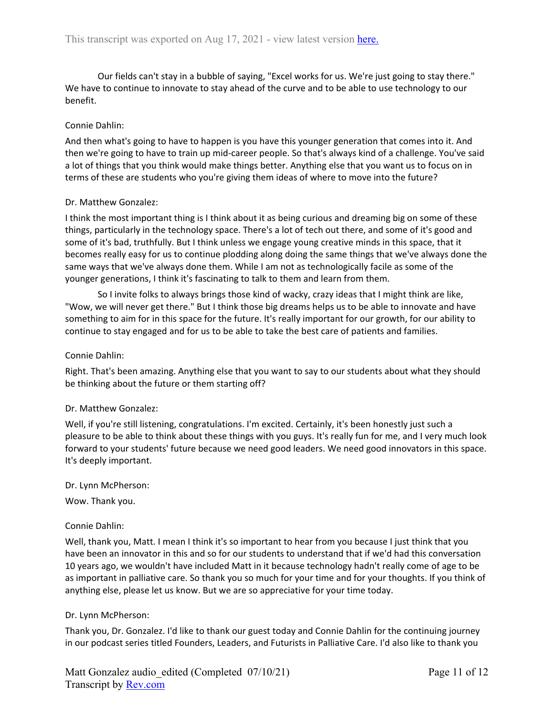Our fields can't stay in a bubble of saying, "Excel works for us. We're just going to stay there." We have to continue to innovate to stay ahead of the curve and to be able to use technology to our benefit.

## Connie Dahlin:

And then what's going to have to happen is you have this younger generation that comes into it. And then we're going to have to train up mid-career people. So that's always kind of a challenge. You've said a lot of things that you think would make things better. Anything else that you want us to focus on in terms of these are students who you're giving them ideas of where to move into the future?

#### Dr. Matthew Gonzalez:

I think the most important thing is I think about it as being curious and dreaming big on some of these things, particularly in the technology space. There's a lot of tech out there, and some of it's good and some of it's bad, truthfully. But I think unless we engage young creative minds in this space, that it becomes really easy for us to continue plodding along doing the same things that we've always done the same ways that we've always done them. While I am not as technologically facile as some of the younger generations, I think it's fascinating to talk to them and learn from them.

So I invite folks to always brings those kind of wacky, crazy ideas that I might think are like, "Wow, we will never get there." But I think those big dreams helps us to be able to innovate and have something to aim for in this space for the future. It's really important for our growth, for our ability to continue to stay engaged and for us to be able to take the best care of patients and families.

#### Connie Dahlin:

Right. That's been amazing. Anything else that you want to say to our students about what they should be thinking about the future or them starting off?

## Dr. Matthew Gonzalez:

Well, if you're still listening, congratulations. I'm excited. Certainly, it's been honestly just such a pleasure to be able to think about these things with you guys. It's really fun for me, and I very much look forward to your students' future because we need good leaders. We need good innovators in this space. It's deeply important.

#### Dr. Lynn McPherson:

Wow. Thank you.

## Connie Dahlin:

Well, thank you, Matt. I mean I think it's so important to hear from you because I just think that you have been an innovator in this and so for our students to understand that if we'd had this conversation 10 years ago, we wouldn't have included Matt in it because technology hadn't really come of age to be as important in palliative care. So thank you so much for your time and for your thoughts. If you think of anything else, please let us know. But we are so appreciative for your time today.

#### Dr. Lynn McPherson:

Thank you, Dr. Gonzalez. I'd like to thank our guest today and Connie Dahlin for the continuing journey in our podcast series titled Founders, Leaders, and Futurists in Palliative Care. I'd also like to thank you